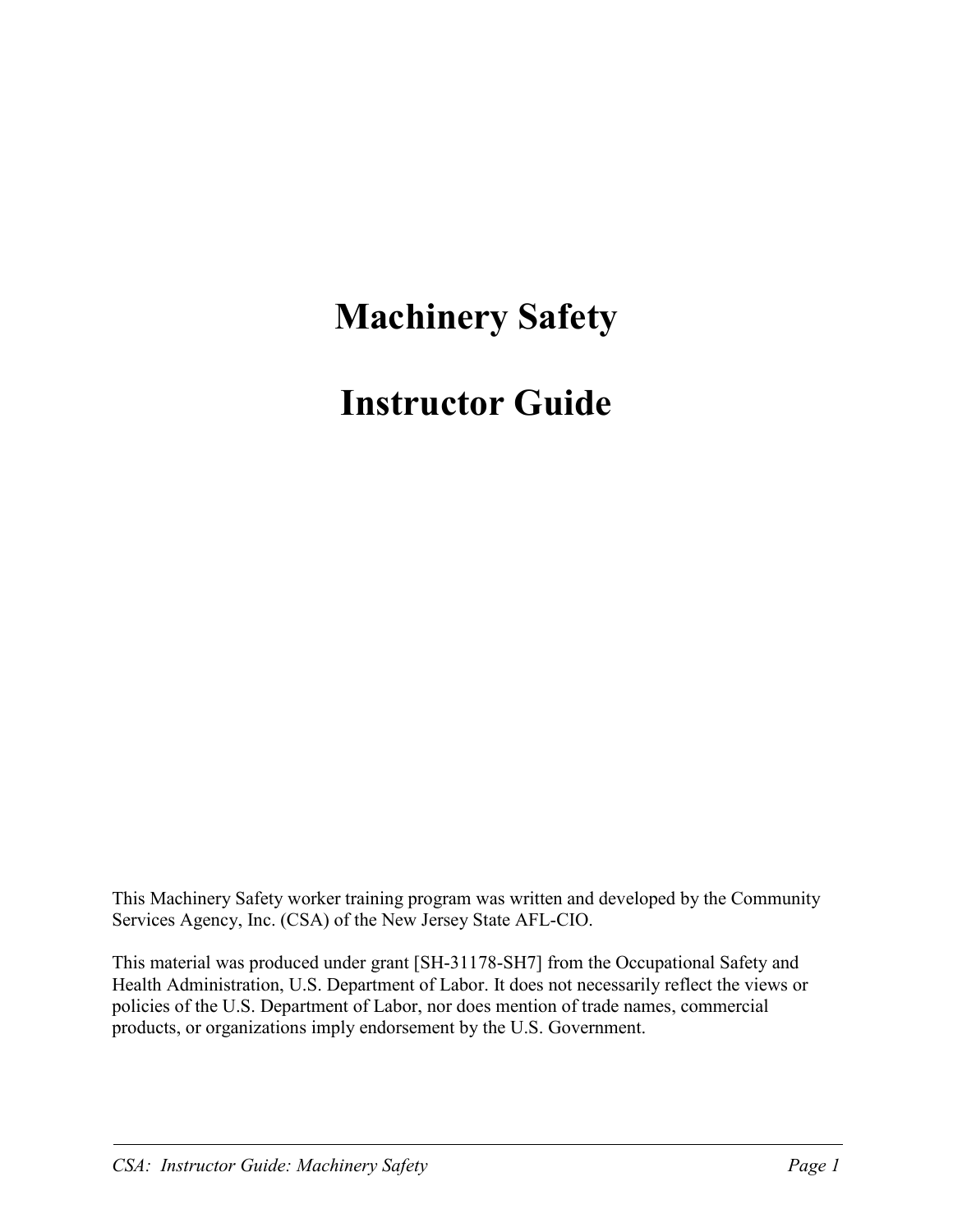## **Machinery Safety**

## **Instructor Guide**

This Machinery Safety worker training program was written and developed by the Community Services Agency, Inc. (CSA) of the New Jersey State AFL-CIO.

This material was produced under grant [SH-31178-SH7] from the Occupational Safety and Health Administration, U.S. Department of Labor. It does not necessarily reflect the views or policies of the U.S. Department of Labor, nor does mention of trade names, commercial products, or organizations imply endorsement by the U.S. Government.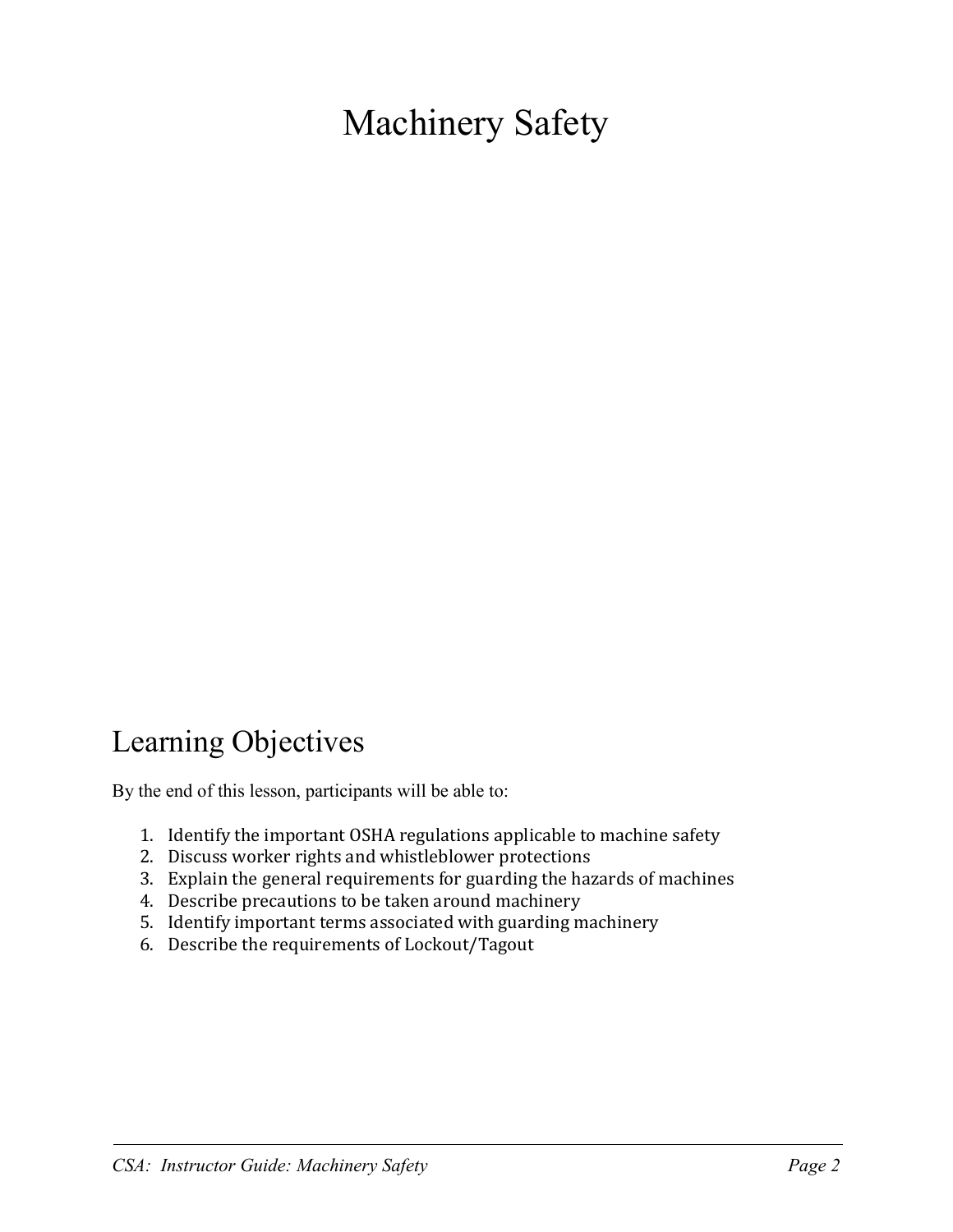# Machinery Safety

#### Learning Objectives

By the end of this lesson, participants will be able to:

- 1. Identify the important OSHA regulations applicable to machine safety
- 2. Discuss worker rights and whistleblower protections
- 3. Explain the general requirements for guarding the hazards of machines
- 4. Describe precautions to be taken around machinery
- 5. Identify important terms associated with guarding machinery
- 6. Describe the requirements of Lockout/Tagout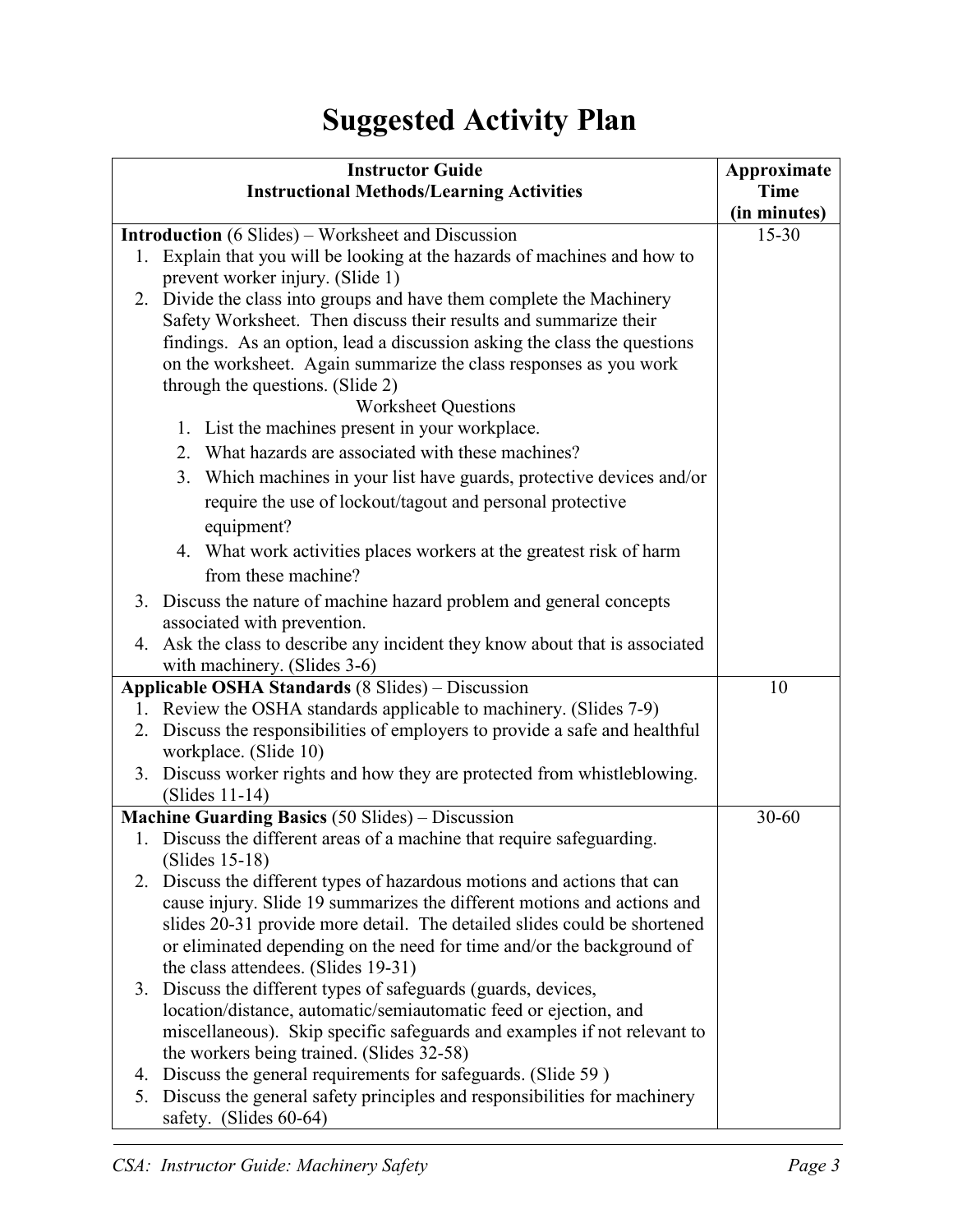### **Suggested Activity Plan**

| <b>Instructor Guide</b> |                                                                                                       | Approximate  |
|-------------------------|-------------------------------------------------------------------------------------------------------|--------------|
|                         | <b>Instructional Methods/Learning Activities</b>                                                      | <b>Time</b>  |
|                         |                                                                                                       | (in minutes) |
|                         | <b>Introduction</b> (6 Slides) – Worksheet and Discussion                                             | $15 - 30$    |
|                         | 1. Explain that you will be looking at the hazards of machines and how to                             |              |
|                         | prevent worker injury. (Slide 1)                                                                      |              |
|                         | 2. Divide the class into groups and have them complete the Machinery                                  |              |
|                         | Safety Worksheet. Then discuss their results and summarize their                                      |              |
|                         | findings. As an option, lead a discussion asking the class the questions                              |              |
|                         | on the worksheet. Again summarize the class responses as you work                                     |              |
|                         | through the questions. (Slide 2)                                                                      |              |
|                         | <b>Worksheet Questions</b><br>1. List the machines present in your workplace.                         |              |
|                         | 2. What hazards are associated with these machines?                                                   |              |
|                         |                                                                                                       |              |
|                         | 3. Which machines in your list have guards, protective devices and/or                                 |              |
|                         | require the use of lockout/tagout and personal protective                                             |              |
|                         | equipment?                                                                                            |              |
|                         | 4. What work activities places workers at the greatest risk of harm                                   |              |
|                         | from these machine?                                                                                   |              |
|                         | 3. Discuss the nature of machine hazard problem and general concepts                                  |              |
|                         | associated with prevention.                                                                           |              |
|                         | 4. Ask the class to describe any incident they know about that is associated                          |              |
|                         | with machinery. (Slides 3-6)<br>Applicable OSHA Standards (8 Slides) - Discussion                     |              |
|                         | 10                                                                                                    |              |
|                         | 1. Review the OSHA standards applicable to machinery. (Slides 7-9)                                    |              |
|                         | 2. Discuss the responsibilities of employers to provide a safe and healthful                          |              |
|                         | workplace. (Slide 10)<br>3. Discuss worker rights and how they are protected from whistleblowing.     |              |
|                         | $(Slides 11-14)$                                                                                      |              |
|                         | <b>Machine Guarding Basics (50 Slides) – Discussion</b>                                               | $30 - 60$    |
|                         | 1. Discuss the different areas of a machine that require safeguarding.                                |              |
|                         | $(Slides 15-18)$                                                                                      |              |
|                         | 2. Discuss the different types of hazardous motions and actions that can                              |              |
|                         | cause injury. Slide 19 summarizes the different motions and actions and                               |              |
|                         | slides 20-31 provide more detail. The detailed slides could be shortened                              |              |
|                         | or eliminated depending on the need for time and/or the background of                                 |              |
|                         | the class attendees. (Slides 19-31)                                                                   |              |
|                         | 3. Discuss the different types of safeguards (guards, devices,                                        |              |
|                         | location/distance, automatic/semiautomatic feed or ejection, and                                      |              |
|                         | miscellaneous). Skip specific safeguards and examples if not relevant to                              |              |
|                         | the workers being trained. (Slides 32-58)                                                             |              |
|                         | 4. Discuss the general requirements for safeguards. (Slide 59)                                        |              |
|                         | 5. Discuss the general safety principles and responsibilities for machinery<br>safety. (Slides 60-64) |              |